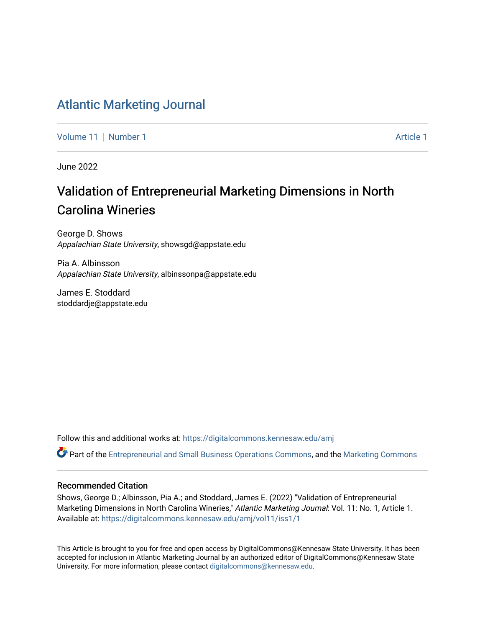# [Atlantic Marketing Journal](https://digitalcommons.kennesaw.edu/amj)

[Volume 11](https://digitalcommons.kennesaw.edu/amj/vol11) | [Number 1](https://digitalcommons.kennesaw.edu/amj/vol11/iss1) [Article 1](https://digitalcommons.kennesaw.edu/amj/vol11/iss1/1) Article 1 Article 1 Article 1 Article 1 Article 1 Article 1 Article 1

June 2022

# Validation of Entrepreneurial Marketing Dimensions in North Carolina Wineries

George D. Shows Appalachian State University, showsgd@appstate.edu

Pia A. Albinsson Appalachian State University, albinssonpa@appstate.edu

James E. Stoddard stoddardje@appstate.edu

Follow this and additional works at: [https://digitalcommons.kennesaw.edu/amj](https://digitalcommons.kennesaw.edu/amj?utm_source=digitalcommons.kennesaw.edu%2Famj%2Fvol11%2Fiss1%2F1&utm_medium=PDF&utm_campaign=PDFCoverPages) 

Part of the [Entrepreneurial and Small Business Operations Commons,](https://network.bepress.com/hgg/discipline/630?utm_source=digitalcommons.kennesaw.edu%2Famj%2Fvol11%2Fiss1%2F1&utm_medium=PDF&utm_campaign=PDFCoverPages) and the [Marketing Commons](https://network.bepress.com/hgg/discipline/638?utm_source=digitalcommons.kennesaw.edu%2Famj%2Fvol11%2Fiss1%2F1&utm_medium=PDF&utm_campaign=PDFCoverPages) 

#### Recommended Citation

Shows, George D.; Albinsson, Pia A.; and Stoddard, James E. (2022) "Validation of Entrepreneurial Marketing Dimensions in North Carolina Wineries," Atlantic Marketing Journal: Vol. 11: No. 1, Article 1. Available at: [https://digitalcommons.kennesaw.edu/amj/vol11/iss1/1](https://digitalcommons.kennesaw.edu/amj/vol11/iss1/1?utm_source=digitalcommons.kennesaw.edu%2Famj%2Fvol11%2Fiss1%2F1&utm_medium=PDF&utm_campaign=PDFCoverPages) 

This Article is brought to you for free and open access by DigitalCommons@Kennesaw State University. It has been accepted for inclusion in Atlantic Marketing Journal by an authorized editor of DigitalCommons@Kennesaw State University. For more information, please contact [digitalcommons@kennesaw.edu.](mailto:digitalcommons@kennesaw.edu)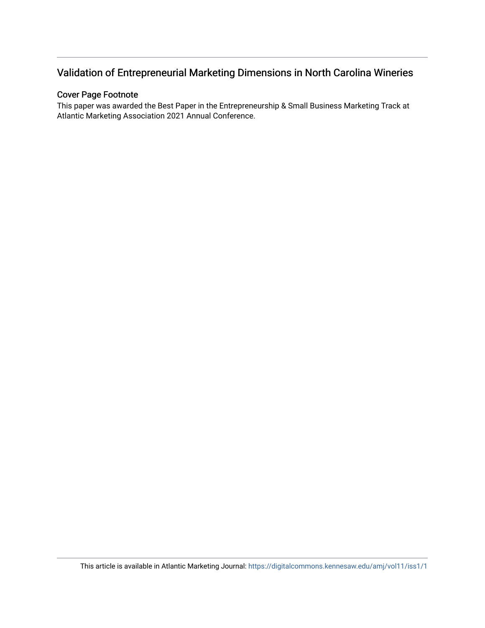# Validation of Entrepreneurial Marketing Dimensions in North Carolina Wineries

## Cover Page Footnote

This paper was awarded the Best Paper in the Entrepreneurship & Small Business Marketing Track at Atlantic Marketing Association 2021 Annual Conference.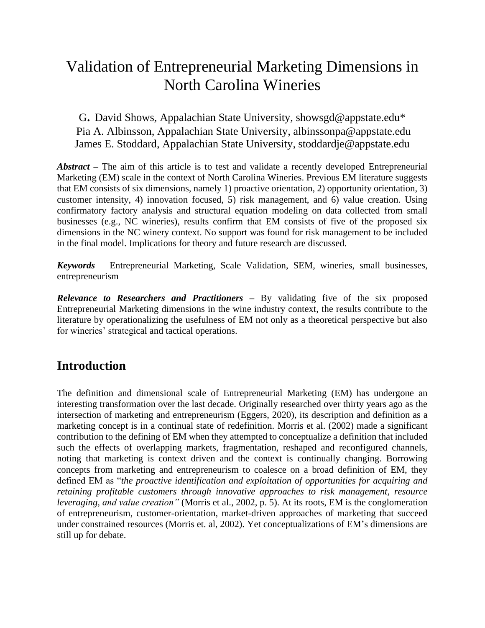# Validation of Entrepreneurial Marketing Dimensions in North Carolina Wineries

G. David Shows, Appalachian State University, showsgd@appstate.edu\* Pia A. Albinsson, Appalachian State University, albinssonpa@appstate.edu James E. Stoddard, Appalachian State University, stoddardje@appstate.edu

*Abstract –* The aim of this article is to test and validate a recently developed Entrepreneurial Marketing (EM) scale in the context of North Carolina Wineries. Previous EM literature suggests that EM consists of six dimensions, namely 1) proactive orientation, 2) opportunity orientation, 3) customer intensity, 4) innovation focused, 5) risk management, and 6) value creation. Using confirmatory factory analysis and structural equation modeling on data collected from small businesses (e.g., NC wineries), results confirm that EM consists of five of the proposed six dimensions in the NC winery context. No support was found for risk management to be included in the final model. Implications for theory and future research are discussed.

*Keywords* – Entrepreneurial Marketing, Scale Validation, SEM, wineries, small businesses, entrepreneurism

*Relevance to Researchers and Practitioners –* By validating five of the six proposed Entrepreneurial Marketing dimensions in the wine industry context, the results contribute to the literature by operationalizing the usefulness of EM not only as a theoretical perspective but also for wineries' strategical and tactical operations.

# **Introduction**

The definition and dimensional scale of Entrepreneurial Marketing (EM) has undergone an interesting transformation over the last decade. Originally researched over thirty years ago as the intersection of marketing and entrepreneurism (Eggers, 2020), its description and definition as a marketing concept is in a continual state of redefinition. Morris et al. (2002) made a significant contribution to the defining of EM when they attempted to conceptualize a definition that included such the effects of overlapping markets, fragmentation, reshaped and reconfigured channels, noting that marketing is context driven and the context is continually changing. Borrowing concepts from marketing and entrepreneurism to coalesce on a broad definition of EM, they defined EM as "*the proactive identification and exploitation of opportunities for acquiring and retaining profitable customers through innovative approaches to risk management, resource leveraging, and value creation"* (Morris et al., 2002, p. 5). At its roots, EM is the conglomeration of entrepreneurism, customer-orientation, market-driven approaches of marketing that succeed under constrained resources (Morris et. al, 2002). Yet conceptualizations of EM's dimensions are still up for debate.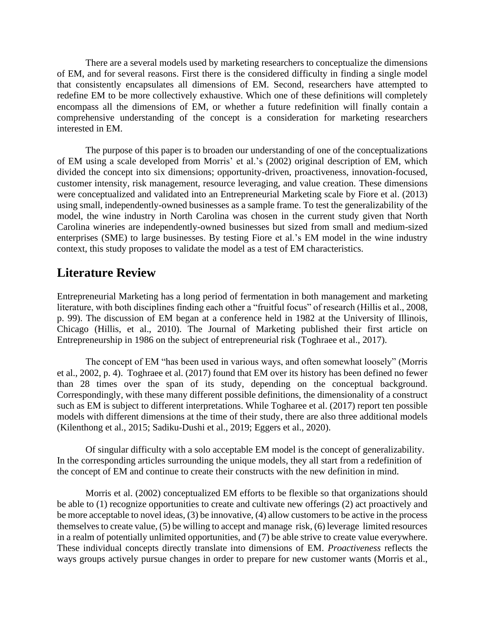There are a several models used by marketing researchers to conceptualize the dimensions of EM, and for several reasons. First there is the considered difficulty in finding a single model that consistently encapsulates all dimensions of EM. Second, researchers have attempted to redefine EM to be more collectively exhaustive. Which one of these definitions will completely encompass all the dimensions of EM, or whether a future redefinition will finally contain a comprehensive understanding of the concept is a consideration for marketing researchers interested in EM.

The purpose of this paper is to broaden our understanding of one of the conceptualizations of EM using a scale developed from Morris' et al.'s (2002) original description of EM, which divided the concept into six dimensions; opportunity-driven, proactiveness, innovation-focused, customer intensity, risk management, resource leveraging, and value creation. These dimensions were conceptualized and validated into an Entrepreneurial Marketing scale by Fiore et al. (2013) using small, independently-owned businesses as a sample frame. To test the generalizability of the model, the wine industry in North Carolina was chosen in the current study given that North Carolina wineries are independently-owned businesses but sized from small and medium-sized enterprises (SME) to large businesses. By testing Fiore et al.'s EM model in the wine industry context, this study proposes to validate the model as a test of EM characteristics.

# **Literature Review**

Entrepreneurial Marketing has a long period of fermentation in both management and marketing literature, with both disciplines finding each other a "fruitful focus" of research (Hillis et al., 2008, p. 99). The discussion of EM began at a conference held in 1982 at the University of Illinois, Chicago (Hillis, et al., 2010). The Journal of Marketing published their first article on Entrepreneurship in 1986 on the subject of entrepreneurial risk (Toghraee et al., 2017).

The concept of EM "has been used in various ways, and often somewhat loosely" (Morris et al., 2002, p. 4). Toghraee et al. (2017) found that EM over its history has been defined no fewer than 28 times over the span of its study, depending on the conceptual background. Correspondingly, with these many different possible definitions, the dimensionality of a construct such as EM is subject to different interpretations. While Togharee et al. (2017) report ten possible models with different dimensions at the time of their study, there are also three additional models (Kilenthong et al., 2015; Sadiku-Dushi et al., 2019; Eggers et al., 2020).

Of singular difficulty with a solo acceptable EM model is the concept of generalizability. In the corresponding articles surrounding the unique models, they all start from a redefinition of the concept of EM and continue to create their constructs with the new definition in mind.

Morris et al. (2002) conceptualized EM efforts to be flexible so that organizations should be able to (1) recognize opportunities to create and cultivate new offerings (2) act proactively and be more acceptable to novel ideas, (3) be innovative, (4) allow customers to be active in the process themselves to create value, (5) be willing to accept and manage risk, (6) leverage limited resources in a realm of potentially unlimited opportunities, and (7) be able strive to create value everywhere. These individual concepts directly translate into dimensions of EM. *Proactiveness* reflects the ways groups actively pursue changes in order to prepare for new customer wants (Morris et al.,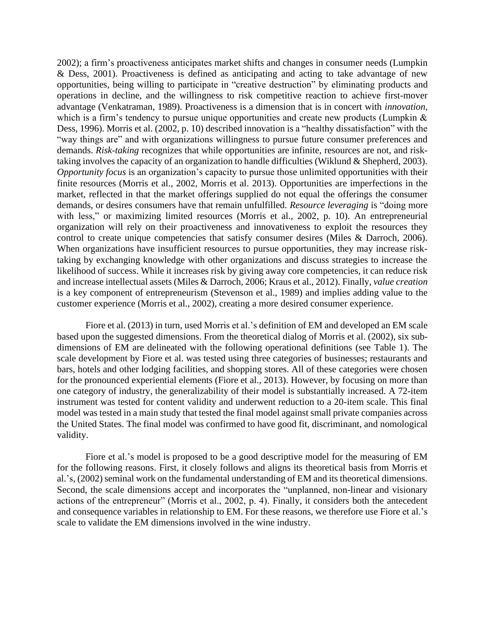2002); a firm's proactiveness anticipates market shifts and changes in consumer needs (Lumpkin & Dess, 2001). Proactiveness is defined as anticipating and acting to take advantage of new opportunities, being willing to participate in "creative destruction" by eliminating products and operations in decline, and the willingness to risk competitive reaction to achieve first-mover advantage (Venkatraman, 1989). Proactiveness is a dimension that is in concert with *innovation*, which is a firm's tendency to pursue unique opportunities and create new products (Lumpkin & Dess, 1996). Morris et al. (2002, p. 10) described innovation is a "healthy dissatisfaction" with the "way things are" and with organizations willingness to pursue future consumer preferences and demands. *Risk-taking* recognizes that while opportunities are infinite, resources are not, and risktaking involves the capacity of an organization to handle difficulties (Wiklund & Shepherd, 2003). *Opportunity focus* is an organization's capacity to pursue those unlimited opportunities with their finite resources (Morris et al., 2002, Morris et al. 2013). Opportunities are imperfections in the market, reflected in that the market offerings supplied do not equal the offerings the consumer demands, or desires consumers have that remain unfulfilled. *Resource leveraging* is "doing more with less," or maximizing limited resources (Morris et al., 2002, p. 10). An entrepreneurial organization will rely on their proactiveness and innovativeness to exploit the resources they control to create unique competencies that satisfy consumer desires (Miles & Darroch, 2006). When organizations have insufficient resources to pursue opportunities, they may increase risktaking by exchanging knowledge with other organizations and discuss strategies to increase the likelihood of success. While it increases risk by giving away core competencies, it can reduce risk and increase intellectual assets (Miles & Darroch, 2006; Kraus et al., 2012). Finally, *value creation* is a key component of entrepreneurism (Stevenson et al., 1989) and implies adding value to the customer experience (Morris et al., 2002), creating a more desired consumer experience.

Fiore et al. (2013) in turn, used Morris et al.'s definition of EM and developed an EM scale based upon the suggested dimensions. From the theoretical dialog of Morris et al. (2002), six subdimensions of EM are delineated with the following operational definitions (see Table 1). The scale development by Fiore et al. was tested using three categories of businesses; restaurants and bars, hotels and other lodging facilities, and shopping stores. All of these categories were chosen for the pronounced experiential elements (Fiore et al., 2013). However, by focusing on more than one category of industry, the generalizability of their model is substantially increased. A 72-item instrument was tested for content validity and underwent reduction to a 20-item scale. This final model was tested in a main study that tested the final model against small private companies across the United States. The final model was confirmed to have good fit, discriminant, and nomological validity.

Fiore et al.'s model is proposed to be a good descriptive model for the measuring of EM for the following reasons. First, it closely follows and aligns its theoretical basis from Morris et al.'s, (2002) seminal work on the fundamental understanding of EM and its theoretical dimensions. Second, the scale dimensions accept and incorporates the "unplanned, non-linear and visionary actions of the entrepreneur" (Morris et al., 2002, p. 4). Finally, it considers both the antecedent and consequence variables in relationship to EM. For these reasons, we therefore use Fiore et al.'s scale to validate the EM dimensions involved in the wine industry.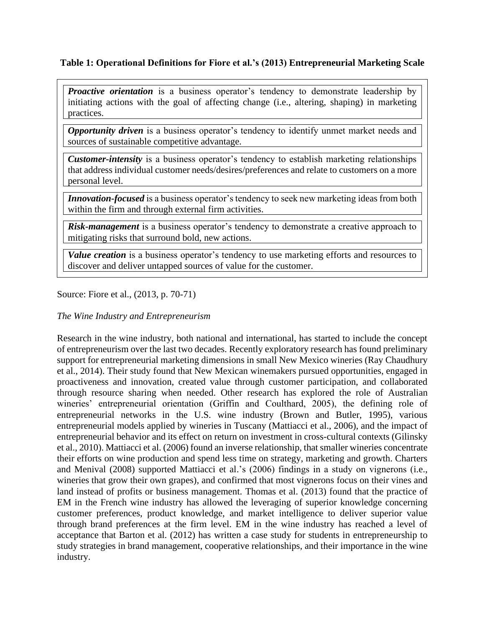# **Table 1: Operational Definitions for Fiore et al.'s (2013) Entrepreneurial Marketing Scale**

**Proactive orientation** is a business operator's tendency to demonstrate leadership by initiating actions with the goal of affecting change (i.e., altering, shaping) in marketing practices.

**Opportunity driven** is a business operator's tendency to identify unmet market needs and sources of sustainable competitive advantage.

*Customer-intensity* is a business operator's tendency to establish marketing relationships that address individual customer needs/desires/preferences and relate to customers on a more personal level.

*Innovation-focused* is a business operator's tendency to seek new marketing ideas from both within the firm and through external firm activities.

*Risk-management* is a business operator's tendency to demonstrate a creative approach to mitigating risks that surround bold, new actions.

*Value creation* is a business operator's tendency to use marketing efforts and resources to discover and deliver untapped sources of value for the customer.

Source: Fiore et al., (2013, p. 70-71)

# *The Wine Industry and Entrepreneurism*

Research in the wine industry, both national and international, has started to include the concept of entrepreneurism over the last two decades. Recently exploratory research has found preliminary support for entrepreneurial marketing dimensions in small New Mexico wineries (Ray Chaudhury et al., 2014). Their study found that New Mexican winemakers pursued opportunities, engaged in proactiveness and innovation, created value through customer participation, and collaborated through resource sharing when needed. Other research has explored the role of Australian wineries' entrepreneurial orientation (Griffin and Coulthard, 2005), the defining role of entrepreneurial networks in the U.S. wine industry (Brown and Butler, 1995), various entrepreneurial models applied by wineries in Tuscany (Mattiacci et al., 2006), and the impact of entrepreneurial behavior and its effect on return on investment in cross-cultural contexts (Gilinsky et al., 2010). Mattiacci et al. (2006) found an inverse relationship, that smaller wineries concentrate their efforts on wine production and spend less time on strategy, marketing and growth. Charters and Menival (2008) supported Mattiacci et al.'s (2006) findings in a study on vignerons (i.e., wineries that grow their own grapes), and confirmed that most vignerons focus on their vines and land instead of profits or business management. Thomas et al. (2013) found that the practice of EM in the French wine industry has allowed the leveraging of superior knowledge concerning customer preferences, product knowledge, and market intelligence to deliver superior value through brand preferences at the firm level. EM in the wine industry has reached a level of acceptance that Barton et al. (2012) has written a case study for students in entrepreneurship to study strategies in brand management, cooperative relationships, and their importance in the wine industry.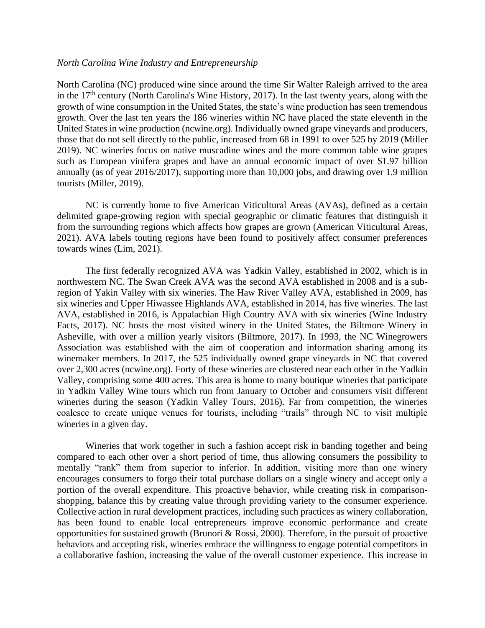#### *North Carolina Wine Industry and Entrepreneurship*

North Carolina (NC) produced wine since around the time Sir Walter Raleigh arrived to the area in the 17<sup>th</sup> century (North Carolina's Wine History, 2017). In the last twenty years, along with the growth of wine consumption in the United States, the state's wine production has seen tremendous growth. Over the last ten years the 186 wineries within NC have placed the state eleventh in the United States in wine production (ncwine.org). Individually owned grape vineyards and producers, those that do not sell directly to the public, increased from 68 in 1991 to over 525 by 2019 (Miller 2019). NC wineries focus on native muscadine wines and the more common table wine grapes such as European vinifera grapes and have an annual economic impact of over \$1.97 billion annually (as of year 2016/2017), supporting more than 10,000 jobs, and drawing over 1.9 million tourists (Miller, 2019).

NC is currently home to five American Viticultural Areas (AVAs), defined as a certain delimited grape-growing region with special geographic or climatic features that distinguish it from the surrounding regions which affects how grapes are grown (American Viticultural Areas, 2021). AVA labels touting regions have been found to positively affect consumer preferences towards wines (Lim, 2021).

The first federally recognized AVA was Yadkin Valley, established in 2002, which is in northwestern NC. The Swan Creek AVA was the second AVA established in 2008 and is a subregion of Yakin Valley with six wineries. The Haw River Valley AVA, established in 2009, has six wineries and Upper Hiwassee Highlands AVA, established in 2014, has five wineries. The last AVA, established in 2016, is Appalachian High Country AVA with six wineries (Wine Industry Facts, 2017). NC hosts the most visited winery in the United States, the Biltmore Winery in Asheville, with over a million yearly visitors (Biltmore, 2017). In 1993, the NC Winegrowers Association was established with the aim of cooperation and information sharing among its winemaker members. In 2017, the 525 individually owned grape vineyards in NC that covered over 2,300 acres (ncwine.org). Forty of these wineries are clustered near each other in the Yadkin Valley, comprising some 400 acres. This area is home to many boutique wineries that participate in Yadkin Valley Wine tours which run from January to October and consumers visit different wineries during the season (Yadkin Valley Tours, 2016). Far from competition, the wineries coalesce to create unique venues for tourists, including "trails" through NC to visit multiple wineries in a given day.

Wineries that work together in such a fashion accept risk in banding together and being compared to each other over a short period of time, thus allowing consumers the possibility to mentally "rank" them from superior to inferior. In addition, visiting more than one winery encourages consumers to forgo their total purchase dollars on a single winery and accept only a portion of the overall expenditure. This proactive behavior, while creating risk in comparisonshopping, balance this by creating value through providing variety to the consumer experience. Collective action in rural development practices, including such practices as winery collaboration, has been found to enable local entrepreneurs improve economic performance and create opportunities for sustained growth (Brunori & Rossi, 2000). Therefore, in the pursuit of proactive behaviors and accepting risk, wineries embrace the willingness to engage potential competitors in a collaborative fashion, increasing the value of the overall customer experience. This increase in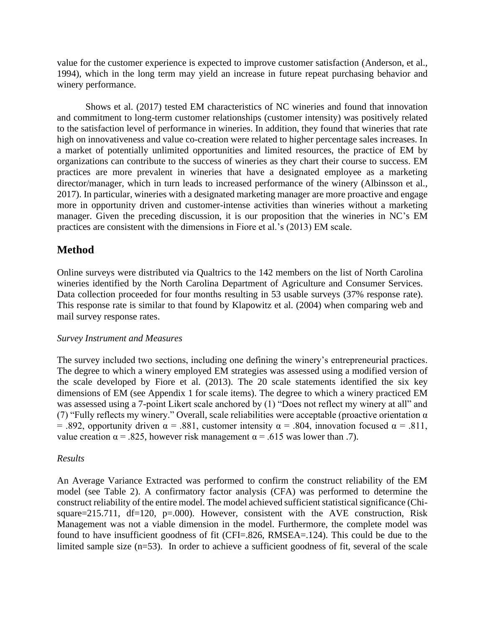value for the customer experience is expected to improve customer satisfaction (Anderson, et al., 1994), which in the long term may yield an increase in future repeat purchasing behavior and winery performance.

Shows et al. (2017) tested EM characteristics of NC wineries and found that innovation and commitment to long-term customer relationships (customer intensity) was positively related to the satisfaction level of performance in wineries. In addition, they found that wineries that rate high on innovativeness and value co-creation were related to higher percentage sales increases. In a market of potentially unlimited opportunities and limited resources, the practice of EM by organizations can contribute to the success of wineries as they chart their course to success. EM practices are more prevalent in wineries that have a designated employee as a marketing director/manager, which in turn leads to increased performance of the winery (Albinsson et al., 2017). In particular, wineries with a designated marketing manager are more proactive and engage more in opportunity driven and customer-intense activities than wineries without a marketing manager. Given the preceding discussion, it is our proposition that the wineries in NC's EM practices are consistent with the dimensions in Fiore et al.'s (2013) EM scale.

# **Method**

Online surveys were distributed via Qualtrics to the 142 members on the list of North Carolina wineries identified by the North Carolina Department of Agriculture and Consumer Services. Data collection proceeded for four months resulting in 53 usable surveys (37% response rate). This response rate is similar to that found by Klapowitz et al. (2004) when comparing web and mail survey response rates.

#### *Survey Instrument and Measures*

The survey included two sections, including one defining the winery's entrepreneurial practices. The degree to which a winery employed EM strategies was assessed using a modified version of the scale developed by Fiore et al. (2013). The 20 scale statements identified the six key dimensions of EM (see Appendix 1 for scale items). The degree to which a winery practiced EM was assessed using a 7-point Likert scale anchored by (1) "Does not reflect my winery at all" and (7) "Fully reflects my winery." Overall, scale reliabilities were acceptable (proactive orientation  $\alpha$ ) = .892, opportunity driven  $\alpha$  = .881, customer intensity  $\alpha$  = .804, innovation focused  $\alpha$  = .811, value creation  $\alpha = .825$ , however risk management  $\alpha = .615$  was lower than .7).

## *Results*

An Average Variance Extracted was performed to confirm the construct reliability of the EM model (see Table 2). A confirmatory factor analysis (CFA) was performed to determine the construct reliability of the entire model. The model achieved sufficient statistical significance (Chisquare=215.711, df=120,  $p=.000$ . However, consistent with the AVE construction, Risk Management was not a viable dimension in the model. Furthermore, the complete model was found to have insufficient goodness of fit (CFI=.826, RMSEA=.124). This could be due to the limited sample size (n=53). In order to achieve a sufficient goodness of fit, several of the scale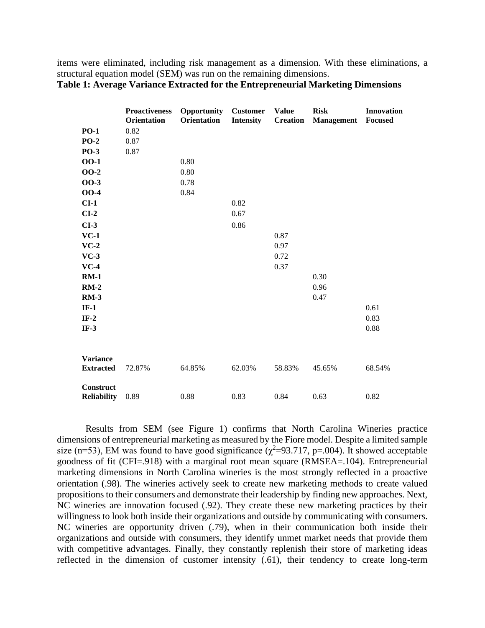items were eliminated, including risk management as a dimension. With these eliminations, a structural equation model (SEM) was run on the remaining dimensions.

|                                        | <b>Proactiveness</b><br>Orientation | Opportunity<br>Orientation | <b>Customer</b><br><b>Intensity</b> | <b>Value</b><br><b>Creation</b> | <b>Risk</b><br><b>Management</b> | Innovation<br>Focused |
|----------------------------------------|-------------------------------------|----------------------------|-------------------------------------|---------------------------------|----------------------------------|-----------------------|
| <b>PO-1</b>                            | 0.82                                |                            |                                     |                                 |                                  |                       |
| $PO-2$                                 | 0.87                                |                            |                                     |                                 |                                  |                       |
| <b>PO-3</b>                            | 0.87                                |                            |                                     |                                 |                                  |                       |
| 00-1                                   |                                     | 0.80                       |                                     |                                 |                                  |                       |
| <b>OO-2</b>                            |                                     | 0.80                       |                                     |                                 |                                  |                       |
| 00-3                                   |                                     | 0.78                       |                                     |                                 |                                  |                       |
| <b>OO-4</b>                            |                                     | 0.84                       |                                     |                                 |                                  |                       |
| $CI-1$                                 |                                     |                            | 0.82                                |                                 |                                  |                       |
| $CI-2$                                 |                                     |                            | 0.67                                |                                 |                                  |                       |
| $CI-3$                                 |                                     |                            | 0.86                                |                                 |                                  |                       |
| $VC-1$                                 |                                     |                            |                                     | 0.87                            |                                  |                       |
| $VC-2$                                 |                                     |                            |                                     | 0.97                            |                                  |                       |
| $VC-3$                                 |                                     |                            |                                     | 0.72                            |                                  |                       |
| $VC-4$                                 |                                     |                            |                                     | 0.37                            |                                  |                       |
| $RM-1$                                 |                                     |                            |                                     |                                 | 0.30                             |                       |
| $RM-2$                                 |                                     |                            |                                     |                                 | 0.96                             |                       |
| <b>RM-3</b>                            |                                     |                            |                                     |                                 | 0.47                             |                       |
| $IF-1$                                 |                                     |                            |                                     |                                 |                                  | 0.61                  |
| $IF-2$                                 |                                     |                            |                                     |                                 |                                  | 0.83                  |
| $IF-3$                                 |                                     |                            |                                     |                                 |                                  | 0.88                  |
| <b>Variance</b>                        |                                     |                            |                                     |                                 |                                  |                       |
| <b>Extracted</b>                       | 72.87%                              | 64.85%                     | 62.03%                              | 58.83%                          | 45.65%                           | 68.54%                |
| <b>Construct</b><br><b>Reliability</b> | 0.89                                | 0.88                       | 0.83                                | 0.84                            | 0.63                             | 0.82                  |

**Table 1: Average Variance Extracted for the Entrepreneurial Marketing Dimensions**

Results from SEM (see Figure 1) confirms that North Carolina Wineries practice dimensions of entrepreneurial marketing as measured by the Fiore model. Despite a limited sample size (n=53), EM was found to have good significance ( $\chi^2$ =93.717, p=.004). It showed acceptable goodness of fit (CFI=.918) with a marginal root mean square (RMSEA=.104). Entrepreneurial marketing dimensions in North Carolina wineries is the most strongly reflected in a proactive orientation (.98). The wineries actively seek to create new marketing methods to create valued propositions to their consumers and demonstrate their leadership by finding new approaches. Next, NC wineries are innovation focused (.92). They create these new marketing practices by their willingness to look both inside their organizations and outside by communicating with consumers. NC wineries are opportunity driven (.79), when in their communication both inside their organizations and outside with consumers, they identify unmet market needs that provide them with competitive advantages. Finally, they constantly replenish their store of marketing ideas reflected in the dimension of customer intensity (.61), their tendency to create long-term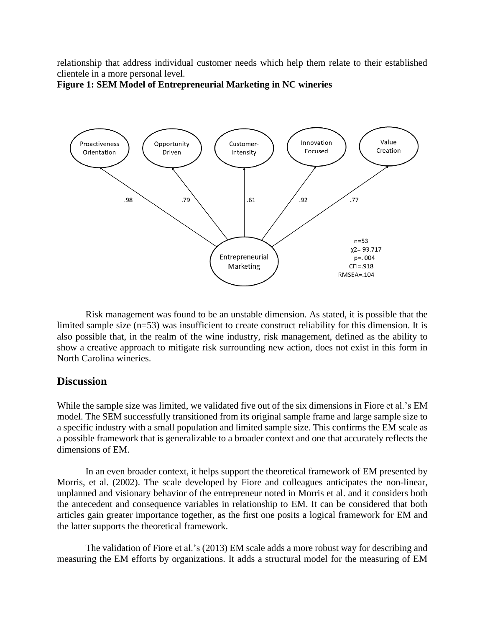relationship that address individual customer needs which help them relate to their established clientele in a more personal level.



**Figure 1: SEM Model of Entrepreneurial Marketing in NC wineries**

Risk management was found to be an unstable dimension. As stated, it is possible that the limited sample size (n=53) was insufficient to create construct reliability for this dimension. It is also possible that, in the realm of the wine industry, risk management, defined as the ability to show a creative approach to mitigate risk surrounding new action, does not exist in this form in North Carolina wineries.

## **Discussion**

While the sample size was limited, we validated five out of the six dimensions in Fiore et al.'s EM model. The SEM successfully transitioned from its original sample frame and large sample size to a specific industry with a small population and limited sample size. This confirms the EM scale as a possible framework that is generalizable to a broader context and one that accurately reflects the dimensions of EM.

In an even broader context, it helps support the theoretical framework of EM presented by Morris, et al. (2002). The scale developed by Fiore and colleagues anticipates the non-linear, unplanned and visionary behavior of the entrepreneur noted in Morris et al. and it considers both the antecedent and consequence variables in relationship to EM. It can be considered that both articles gain greater importance together, as the first one posits a logical framework for EM and the latter supports the theoretical framework.

The validation of Fiore et al.'s (2013) EM scale adds a more robust way for describing and measuring the EM efforts by organizations. It adds a structural model for the measuring of EM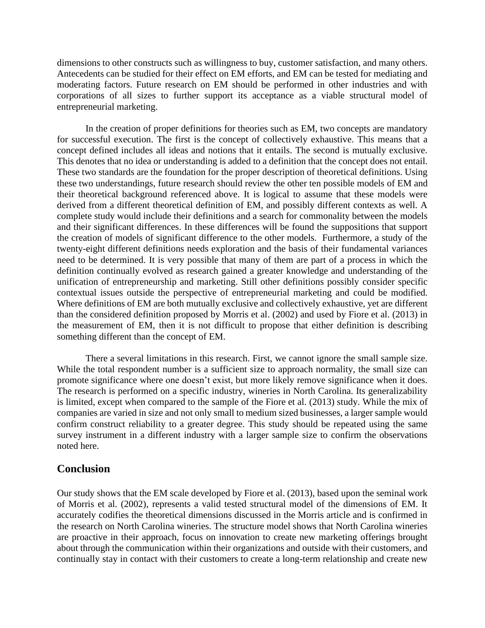dimensions to other constructs such as willingness to buy, customer satisfaction, and many others. Antecedents can be studied for their effect on EM efforts, and EM can be tested for mediating and moderating factors. Future research on EM should be performed in other industries and with corporations of all sizes to further support its acceptance as a viable structural model of entrepreneurial marketing.

In the creation of proper definitions for theories such as EM, two concepts are mandatory for successful execution. The first is the concept of collectively exhaustive. This means that a concept defined includes all ideas and notions that it entails. The second is mutually exclusive. This denotes that no idea or understanding is added to a definition that the concept does not entail. These two standards are the foundation for the proper description of theoretical definitions. Using these two understandings, future research should review the other ten possible models of EM and their theoretical background referenced above. It is logical to assume that these models were derived from a different theoretical definition of EM, and possibly different contexts as well. A complete study would include their definitions and a search for commonality between the models and their significant differences. In these differences will be found the suppositions that support the creation of models of significant difference to the other models. Furthermore, a study of the twenty-eight different definitions needs exploration and the basis of their fundamental variances need to be determined. It is very possible that many of them are part of a process in which the definition continually evolved as research gained a greater knowledge and understanding of the unification of entrepreneurship and marketing. Still other definitions possibly consider specific contextual issues outside the perspective of entrepreneurial marketing and could be modified. Where definitions of EM are both mutually exclusive and collectively exhaustive, yet are different than the considered definition proposed by Morris et al. (2002) and used by Fiore et al. (2013) in the measurement of EM, then it is not difficult to propose that either definition is describing something different than the concept of EM.

There a several limitations in this research. First, we cannot ignore the small sample size. While the total respondent number is a sufficient size to approach normality, the small size can promote significance where one doesn't exist, but more likely remove significance when it does. The research is performed on a specific industry, wineries in North Carolina. Its generalizability is limited, except when compared to the sample of the Fiore et al. (2013) study. While the mix of companies are varied in size and not only small to medium sized businesses, a larger sample would confirm construct reliability to a greater degree. This study should be repeated using the same survey instrument in a different industry with a larger sample size to confirm the observations noted here.

## **Conclusion**

Our study shows that the EM scale developed by Fiore et al. (2013), based upon the seminal work of Morris et al. (2002), represents a valid tested structural model of the dimensions of EM. It accurately codifies the theoretical dimensions discussed in the Morris article and is confirmed in the research on North Carolina wineries. The structure model shows that North Carolina wineries are proactive in their approach, focus on innovation to create new marketing offerings brought about through the communication within their organizations and outside with their customers, and continually stay in contact with their customers to create a long-term relationship and create new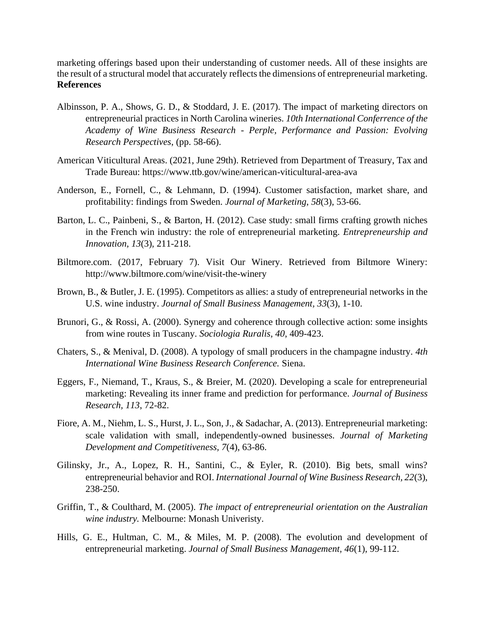marketing offerings based upon their understanding of customer needs. All of these insights are the result of a structural model that accurately reflects the dimensions of entrepreneurial marketing. **References**

- Albinsson, P. A., Shows, G. D., & Stoddard, J. E. (2017). The impact of marketing directors on entrepreneurial practices in North Carolina wineries. *10th International Conferrence of the Academy of Wine Business Research - Perple, Performance and Passion: Evolving Research Perspectives*, (pp. 58-66).
- American Viticultural Areas. (2021, June 29th). Retrieved from Department of Treasury, Tax and Trade Bureau: https://www.ttb.gov/wine/american-viticultural-area-ava
- Anderson, E., Fornell, C., & Lehmann, D. (1994). Customer satisfaction, market share, and profitability: findings from Sweden. *Journal of Marketing, 58*(3), 53-66.
- Barton, L. C., Painbeni, S., & Barton, H. (2012). Case study: small firms crafting growth niches in the French win industry: the role of entrepreneurial marketing. *Entrepreneurship and Innovation, 13*(3), 211-218.
- Biltmore.com. (2017, February 7). Visit Our Winery. Retrieved from Biltmore Winery: http://www.biltmore.com/wine/visit-the-winery
- Brown, B., & Butler, J. E. (1995). Competitors as allies: a study of entrepreneurial networks in the U.S. wine industry. *Journal of Small Business Management, 33*(3), 1-10.
- Brunori, G., & Rossi, A. (2000). Synergy and coherence through collective action: some insights from wine routes in Tuscany. *Sociologia Ruralis, 40*, 409-423.
- Chaters, S., & Menival, D. (2008). A typology of small producers in the champagne industry. *4th International Wine Business Research Conference.* Siena.
- Eggers, F., Niemand, T., Kraus, S., & Breier, M. (2020). Developing a scale for entrepreneurial marketing: Revealing its inner frame and prediction for performance. *Journal of Business Research, 113*, 72-82.
- Fiore, A. M., Niehm, L. S., Hurst, J. L., Son, J., & Sadachar, A. (2013). Entrepreneurial marketing: scale validation with small, independently-owned businesses. *Journal of Marketing Development and Competitiveness, 7*(4), 63-86.
- Gilinsky, Jr., A., Lopez, R. H., Santini, C., & Eyler, R. (2010). Big bets, small wins? entrepreneurial behavior and ROI. *International Journal of Wine Business Research, 22*(3), 238-250.
- Griffin, T., & Coulthard, M. (2005). *The impact of entrepreneurial orientation on the Australian wine industry.* Melbourne: Monash Univeristy.
- Hills, G. E., Hultman, C. M., & Miles, M. P. (2008). The evolution and development of entrepreneurial marketing. *Journal of Small Business Management, 46*(1), 99-112.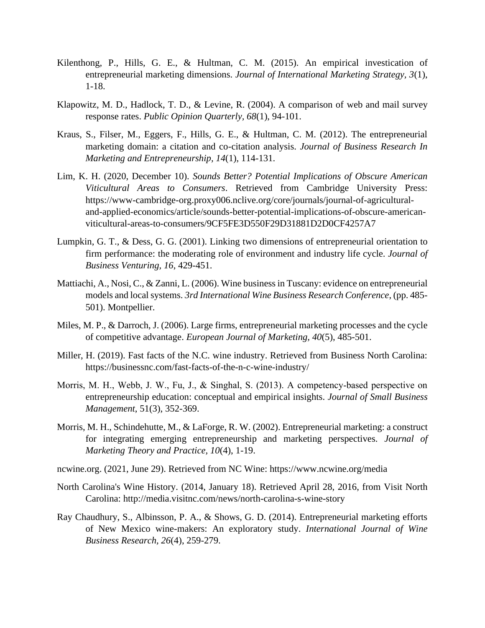- Kilenthong, P., Hills, G. E., & Hultman, C. M. (2015). An empirical investication of entrepreneurial marketing dimensions. *Journal of International Marketing Strategy, 3*(1), 1-18.
- Klapowitz, M. D., Hadlock, T. D., & Levine, R. (2004). A comparison of web and mail survey response rates. *Public Opinion Quarterly, 68*(1), 94-101.
- Kraus, S., Filser, M., Eggers, F., Hills, G. E., & Hultman, C. M. (2012). The entrepreneurial marketing domain: a citation and co-citation analysis. *Journal of Business Research In Marketing and Entrepreneurship, 14*(1), 114-131.
- Lim, K. H. (2020, December 10). *Sounds Better? Potential Implications of Obscure American Viticultural Areas to Consumers*. Retrieved from Cambridge University Press: https://www-cambridge-org.proxy006.nclive.org/core/journals/journal-of-agriculturaland-applied-economics/article/sounds-better-potential-implications-of-obscure-americanviticultural-areas-to-consumers/9CF5FE3D550F29D31881D2D0CF4257A7
- Lumpkin, G. T., & Dess, G. G. (2001). Linking two dimensions of entrepreneurial orientation to firm performance: the moderating role of environment and industry life cycle. *Journal of Business Venturing, 16*, 429-451.
- Mattiachi, A., Nosi, C., & Zanni, L. (2006). Wine business in Tuscany: evidence on entrepreneurial models and local systems. *3rd International Wine Business Research Conference*, (pp. 485- 501). Montpellier.
- Miles, M. P., & Darroch, J. (2006). Large firms, entrepreneurial marketing processes and the cycle of competitive advantage. *European Journal of Marketing, 40*(5), 485-501.
- Miller, H. (2019). Fast facts of the N.C. wine industry. Retrieved from Business North Carolina: https://businessnc.com/fast-facts-of-the-n-c-wine-industry/
- Morris, M. H., Webb, J. W., Fu, J., & Singhal, S. (2013). A competency-based perspective on entrepreneurship education: conceptual and empirical insights. *Journal of Small Business Management*, 51(3), 352-369.
- Morris, M. H., Schindehutte, M., & LaForge, R. W. (2002). Entrepreneurial marketing: a construct for integrating emerging entrepreneurship and marketing perspectives. *Journal of Marketing Theory and Practice, 10*(4), 1-19.
- ncwine.org. (2021, June 29). Retrieved from NC Wine: https://www.ncwine.org/media
- North Carolina's Wine History. (2014, January 18). Retrieved April 28, 2016, from Visit North Carolina: http://media.visitnc.com/news/north-carolina-s-wine-story
- Ray Chaudhury, S., Albinsson, P. A., & Shows, G. D. (2014). Entrepreneurial marketing efforts of New Mexico wine-makers: An exploratory study. *International Journal of Wine Business Research, 26*(4), 259-279.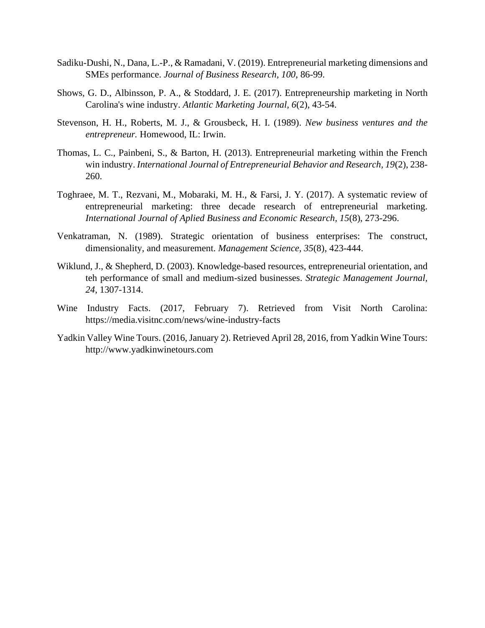- Sadiku-Dushi, N., Dana, L.-P., & Ramadani, V. (2019). Entrepreneurial marketing dimensions and SMEs performance. *Journal of Business Research, 100*, 86-99.
- Shows, G. D., Albinsson, P. A., & Stoddard, J. E. (2017). Entrepreneurship marketing in North Carolina's wine industry. *Atlantic Marketing Journal, 6*(2), 43-54.
- Stevenson, H. H., Roberts, M. J., & Grousbeck, H. I. (1989). *New business ventures and the entrepreneur.* Homewood, IL: Irwin.
- Thomas, L. C., Painbeni, S., & Barton, H. (2013). Entrepreneurial marketing within the French win industry. *International Journal of Entrepreneurial Behavior and Research, 19*(2), 238- 260.
- Toghraee, M. T., Rezvani, M., Mobaraki, M. H., & Farsi, J. Y. (2017). A systematic review of entrepreneurial marketing: three decade research of entrepreneurial marketing. *International Journal of Aplied Business and Economic Research, 15*(8), 273-296.
- Venkatraman, N. (1989). Strategic orientation of business enterprises: The construct, dimensionality, and measurement. *Management Science, 35*(8), 423-444.
- Wiklund, J., & Shepherd, D. (2003). Knowledge-based resources, entrepreneurial orientation, and teh performance of small and medium-sized businesses. *Strategic Management Journal, 24*, 1307-1314.
- Wine Industry Facts. (2017, February 7). Retrieved from Visit North Carolina: https://media.visitnc.com/news/wine-industry-facts
- Yadkin Valley Wine Tours. (2016, January 2). Retrieved April 28, 2016, from Yadkin Wine Tours: http://www.yadkinwinetours.com